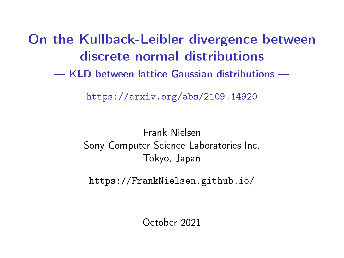On the Kullback-Leibler divergence between discrete normal distributions

KLD between lattice Gaussian distributions

<https://arxiv.org/abs/2109.14920>

Frank Nielsen Sony Computer Science Laboratories Inc. Tokyo, Japan

<https://FrankNielsen.github.io/>

October 2021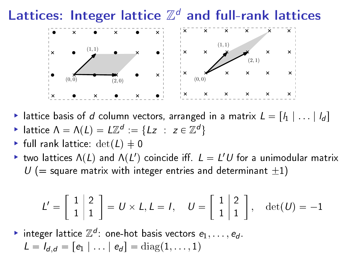# Lattices: Integer lattice  $\mathbb{Z}^d$  and full-rank lattices



- If lattice basis of  $d$  column vectors, arranged in a matrix  $L = [l_1 | \dots | l_d]$
- $\triangleright$  lattice Λ = Λ(L) = L $\mathbb{Z}^d := \{Lz : z \in \mathbb{Z}^d\}$
- Fill rank lattice:  $\det(L) \neq 0$
- ighthroworroup two lattices  $\Lambda(L)$  and  $\Lambda(L')$  coincide iff.  $L = L'U$  for a unimodular matrix  $U$  (= square matrix with integer entries and determinant  $\pm 1$ )

$$
L' = \begin{bmatrix} 1 & 2 \\ 1 & 1 \end{bmatrix} = U \times L, L = I, \quad U = \begin{bmatrix} 1 & 2 \\ 1 & 1 \end{bmatrix}, \quad \det(U) = -1
$$

 $\blacktriangleright$  integer lattice  $\mathbb{Z}^d$ : one-hot basis vectors  $e_1,\ldots,e_d.$  $L = I_{d,d} = [e_1 | \dots | e_d] = \text{diag}(1, \dots, 1)$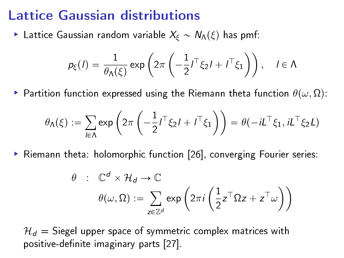#### Lattice Gaussian distributions

**Lattice Gaussian random variable**  $X_{\xi} \sim N_{\Lambda}(\xi)$  **has pmf:** 

$$
p_{\xi}(I) = \frac{1}{\theta_{\Lambda}(\xi)} \exp\left(2\pi \left(-\frac{1}{2}I^{\top}\xi_2 I + I^{\top}\xi_1\right)\right), \quad I \in \Lambda
$$

Partition function expressed using the Riemann theta function  $\theta(\omega, \Omega)$ :

$$
\theta_{\Lambda}(\xi) := \sum_{l \in \Lambda} \exp \left( 2 \pi \left( -\frac{1}{2} l^{\top} \xi_2 l + l^{\top} \xi_1 \right) \right) = \theta(-iL^{\top} \xi_1, iL^{\top} \xi_2 L)
$$

 $\blacktriangleright$  Riemann theta: holomorphic function [\[26\]](#page-30-0), converging Fourier series:

$$
\theta : \mathbb{C}^d \times \mathcal{H}_d \to \mathbb{C}
$$

$$
\theta(\omega, \Omega) := \sum_{z \in \mathbb{Z}^d} \exp\left(2\pi i \left(\frac{1}{2} z^\top \Omega z + z^\top \omega\right)\right)
$$

 $\mathcal{H}_d$  = Siegel upper space of symmetric complex matrices with positive-definite imaginary parts [\[27\]](#page-30-1).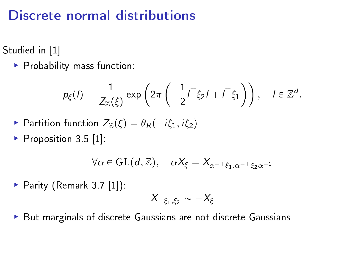### Discrete normal distributions

Studied in [\[1\]](#page-27-0)

 $\blacktriangleright$  Probability mass function:

$$
p_{\xi}(I) = \frac{1}{Z_{\mathbb{Z}}(\xi)} \exp\left(2\pi \left(-\frac{1}{2}I^{\top}\xi_2 I + I^{\top}\xi_1\right)\right), \quad I \in \mathbb{Z}^d.
$$

$$
\triangleright \text{ Partition function } Z_{\mathbb{Z}}(\xi) = \theta_R(-i\xi_1, i\xi_2)
$$

Proposition  $3.5$  [\[1\]](#page-27-0):

$$
\forall \alpha \in \mathrm{GL}(d,\mathbb{Z}), \quad \alpha X_{\xi} = X_{\alpha^{-\top} \xi_1, \alpha^{-\top} \xi_2 \alpha^{-1}}
$$

Parity (Remark 3.7  $[1]$ ):

$$
X_{-\xi_1,\xi_2}\sim -X_\xi
$$

 $\blacktriangleright$  But marginals of discrete Gaussians are not discrete Gaussians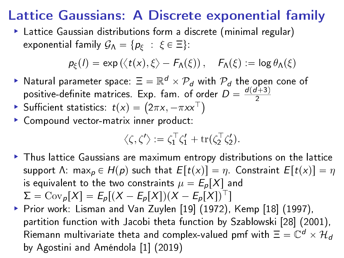# Lattice Gaussians: A Discrete exponential family

 Lattice Gaussian distributions form a discrete (minimal regular) exponential family  $\mathcal{G}_{\Lambda} = \{p_{\xi} : \xi \in \Xi\}$ :

$$
p_{\xi}(I) = \exp\left(\langle t(x), \xi \rangle - F_{\Lambda}(\xi)\right), \quad F_{\Lambda}(\xi) := \log \theta_{\Lambda}(\xi)
$$

- $\blacktriangleright$  Natural parameter space:  $\Xi = \mathbb{R}^d \times \mathcal{P}_d$  with  $\mathcal{P}_d$  the open cone of positive-definite matrices. Exp. fam. of order  $\overline{D} = \frac{d(d+3)}{2}$
- Sufficient statistics:  $t(x) = (2\pi x, -\pi x x^{\top})$
- Compound vector-matrix inner product:

$$
\langle \zeta, \zeta' \rangle := \zeta_1^{\top} \zeta_1' + \operatorname{tr}(\zeta_2^{\top} \zeta_2').
$$

- Thus lattice Gaussians are maximum entropy distributions on the lattice support Λ: max<sub>p</sub>  $\in$  H(p) such that  $E[t(x)] = \eta$ . Constraint  $E[t(x)] = \eta$ is equivalent to the two constraints  $\mu = E_p[X]$  and  $\Sigma = \text{Cov}_p[X] = E_p[(X - E_p[X])(X - E_p[X])^\top]$
- Prior work: Lisman and Van Zuylen [\[19\]](#page-29-0)  $(1972)$ , Kemp [\[18\]](#page-29-1)  $(1997)$ , partition function with Jacobi theta function by Szablowski [\[28\]](#page-30-2) (2001), Riemann multivariate theta and complex-valued pmf with  $\Xi = \mathbb{C}^d \times \mathcal{H}_d$ by Agostini and Améndola [\[1\]](#page-27-0) (2019)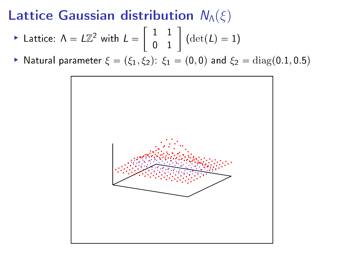# Lattice Gaussian distribution  $N_\Lambda(\xi)$

$$
\blacktriangleright \text{ Lattice: } \Lambda = L\mathbb{Z}^2 \text{ with } L = \left[ \begin{array}{cc} 1 & 1 \\ 0 & 1 \end{array} \right] \text{ (det}(L) = 1)
$$

Natural parameter  $\xi = (\xi_1, \xi_2): \xi_1 = (0, 0)$  and  $\xi_2 = \text{diag}(0.1, 0.5)$ 

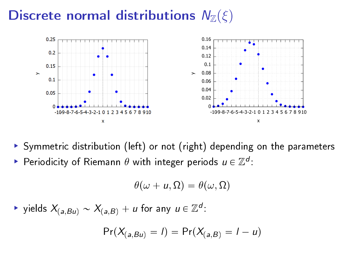## Discrete normal distributions  $N_{\mathbb{Z}}(\xi)$



- Symmetric distribution (left) or not (right) depending on the parameters
- Periodicity of Riemann  $\theta$  with integer periods  $u \in \mathbb{Z}^d$ :

$$
\theta(\omega+u,\Omega)=\theta(\omega,\Omega)
$$

 $\blacktriangleright$  yields  $X_{(a,Bu)} \sim X_{(a,B)} + u$  for any  $u \in \mathbb{Z}^d$ :

$$
Pr(X_{(a,Bu)} = I) = Pr(X_{(a,B)} = I - u)
$$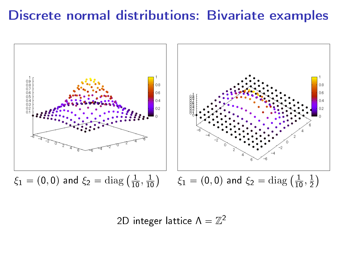# Discrete normal distributions: Bivariate examples



2D integer lattice  $\Lambda = \mathbb{Z}^2$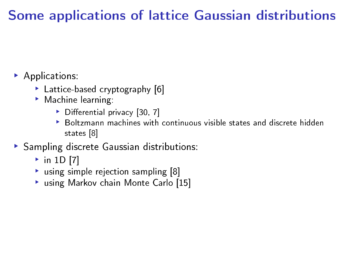# Some applications of lattice Gaussian distributions

- Applications:
	- .<br>▶ Lattice-based cryptography [\[6\]](#page-27-1)
	- **Machine learning:** 
		- $\triangleright$  Differential privacy [\[30,](#page-31-0) [7\]](#page-27-2)
		- **Boltzmann machines with continuous visible states and discrete hidden** states [\[8\]](#page-28-0)
- Sampling discrete Gaussian distributions:
	- $\overline{\bullet}$  in 1D [\[7\]](#page-27-2)
	- $\cdot$  using simple rejection sampling [\[8\]](#page-28-0)
	- using Markov chain Monte Carlo [\[15\]](#page-29-2)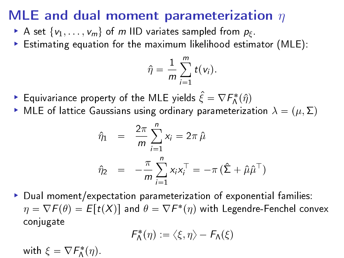# MLE and dual moment parameterization  $\eta$

- A set  $\{v_1, \ldots, v_m\}$  of m IID variates sampled from  $p_{\xi}$ .
- Estimating equation for the maximum likelihood estimator (MLE):

$$
\hat{\eta} = \frac{1}{m} \sum_{i=1}^{m} t(v_i).
$$

- $\blacktriangleright$  Equivariance property of the MLE yields  $\hat{\xi} = \nabla \mathcal{F}_\mathsf{A}^*(\hat{\eta})$
- MLE of lattice Gaussians using ordinary parameterization  $\lambda = (\mu, \Sigma)$

$$
\hat{\eta}_1 = \frac{2\pi}{m} \sum_{i=1}^n x_i = 2\pi \hat{\mu}
$$

$$
\hat{\eta}_2 = -\frac{\pi}{m} \sum_{i=1}^n x_i x_i^\top = -\pi \left( \hat{\Sigma} + \hat{\mu} \hat{\mu}^\top \right)
$$

 $\blacktriangleright$  Dual moment/expectation parameterization of exponential families:  $\eta = \nabla \mathcal{F}(\theta) = E[t(X)]$  and  $\theta = \nabla F^*(\eta)$  with Legendre-Fenchel convex conjugate

$$
\mathsf{F}_{\mathsf{\Lambda}}^*(\eta):=\langle \xi,\eta\rangle-\mathsf{F}_{\mathsf{\Lambda}}(\xi)
$$

with  $\xi = \nabla F_{\Lambda}^*(\eta)$ .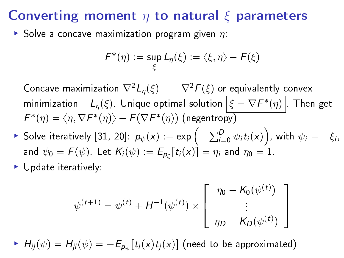#### Converting moment  $\eta$  to natural  $\xi$  parameters

Solve a concave maximization program given  $\eta$ :

$$
\mathsf{F}^*(\eta) := \sup_{\xi} L_{\eta}(\xi) := \langle \xi, \eta \rangle - \mathsf{F}(\xi)
$$

Concave maximization  $\nabla^2 L_n(\xi) = -\nabla^2 F(\xi)$  or equivalently convex minimization  $-L_\eta(\xi)$ . Unique optimal solution  $\big|\,\xi = \nabla F^*(\eta)\,\big|$  . Then get  $\mathcal{F}^*(\eta) = \langle \eta, \nabla \mathcal{F}^*(\eta) \rangle - \mathcal{F}(\nabla \mathcal{F}^*(\eta))$  (negentropy)

- $\blacktriangleright$  Solve iteratively [\[31,](#page-31-1) [20\]](#page-29-3):  $p_{\psi}(x) := \exp \left(-\sum_{i=0}^D \psi_i t_i(x)\right)$ , with  $\psi_i = -\xi_i$ , and  $\psi_0 = \mathcal{F}(\psi)$ . Let  $\mathcal{K}_i(\psi) := E_{\rho_{\xi}}[t_i(x)] = \eta_i$  and  $\eta_0 = 1$ .
- Update iteratively:

$$
\psi^{(t+1)} = \psi^{(t)} + H^{-1}(\psi^{(t)}) \times \begin{bmatrix} \eta_0 - K_0(\psi^{(t)}) \\ \vdots \\ \eta_D - K_D(\psi^{(t)}) \end{bmatrix}
$$

 $H_{ij}(\psi) = H_{ji}(\psi) = -E_{\rho_{\psi}}[t_i(x)t_j(x)]$  (need to be approximated)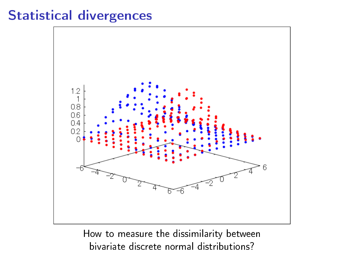#### Statistical divergences



How to measure the dissimilarity between bivariate discrete normal distributions?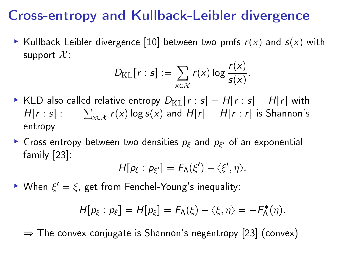### Cross-entropy and Kullback-Leibler divergence

Kullback-Leibler divergence [\[10\]](#page-28-1) between two pmfs  $r(x)$  and  $s(x)$  with support  $\mathcal{X}$ .

$$
D_{\mathrm{KL}}[r:s] := \sum_{x \in \mathcal{X}} r(x) \log \frac{r(x)}{s(x)}.
$$

- KLD also called relative entropy  $D_{\text{KL}}[r:s] = H[r:s] H[r]$  with  $H[r:s] := -\sum_{x \in \mathcal{X}} r(x) \log s(x)$  and  $H[r] = H[r:r]$  is Shannon's entropy
- **Cross-entropy between two densities**  $p_{\xi}$  **and**  $p_{\xi'}$  **of an exponential** family [\[23\]](#page-30-3):

$$
H[p_{\xi}:p_{\xi'}]=F_{\Lambda}(\xi')-\langle\xi',\eta\rangle.
$$

Nhen  $\xi' = \xi$ , get from Fenchel-Young's inequality:

$$
H[p_{\xi}:p_{\xi}]=H[p_{\xi}]=F_{\Lambda}(\xi)-\langle \xi,\eta\rangle=-F_{\Lambda}^{*}(\eta).
$$

 $\Rightarrow$  The convex conjugate is Shannon's negentropy [\[23\]](#page-30-3) (convex)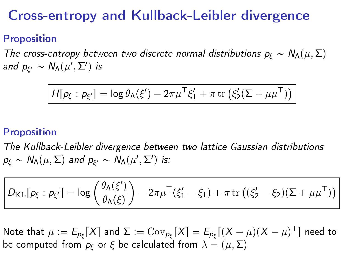### Cross-entropy and Kullback-Leibler divergence

#### Proposition

The cross-entropy between two discrete normal distributions  $p_{\xi} \sim N_{\Lambda}(\mu, \Sigma)$ and  $p_{\xi'} \sim N_{\Lambda}(\mu', \Sigma')$  is

$$
H[p_{\xi}: p_{\xi'}] = \log \theta_{\Lambda}(\xi') - 2\pi\mu^{\top}\xi_1' + \pi \operatorname{tr} (\xi_2'(\Sigma + \mu\mu^{\top}))
$$

#### Proposition

The Kullback-Leibler divergence between two lattice Gaussian distributions  $p_{\xi} \sim N_{\Lambda}(\mu, \Sigma)$  and  $p_{\xi'} \sim N_{\Lambda}(\mu', \Sigma')$  is:

$$
D_{\mathrm{KL}}[p_{\xi} : p_{\xi'}] = \log \left( \frac{\theta_{\Lambda}(\xi')}{\theta_{\Lambda}(\xi)} \right) - 2\pi \mu^{\top} (\xi'_1 - \xi_1) + \pi \operatorname{tr} \left( (\xi'_2 - \xi_2)(\Sigma + \mu \mu^{\top}) \right)
$$

Note that  $\mu := E_{p_{\xi}}[X]$  and  $\Sigma := \text{Cov}_{p_{\xi}}[X] = E_{p_{\xi}}[(X - \mu)(X - \mu)^{\top}]$  need to be computed from  $p_{\varepsilon}$  or  $\xi$  be calculated from  $\lambda = (\mu, \Sigma)$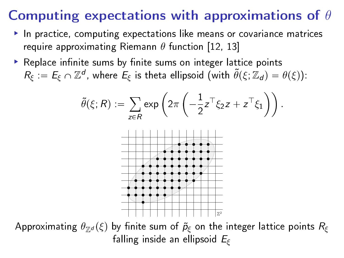# Computing expectations with approximations of  $\theta$

- $\blacktriangleright$  In practice, computing expectations like means or covariance matrices require approximating Riemann  $\theta$  function [\[12,](#page-28-2) [13\]](#page-28-3)
- $\blacktriangleright$  Replace infinite sums by finite sums on integer lattice points  $R_\xi:=E_\xi\cap\mathbb{Z}^d$ , where  $E_\xi$  is theta ellipsoid (with  $\tilde\theta(\xi;\mathbb{Z}_d)=\theta(\xi)$ ):

$$
\widetilde{\theta}(\xi; R) := \sum_{z \in R} \exp \left( 2\pi \left( -\frac{1}{2} z^\top \xi_2 z + z^\top \xi_1 \right) \right).
$$



Approximating  $\theta_{\mathbb{Z}^d}(\xi)$  by finite sum of  $\tilde{p}_{\xi}$  on the integer lattice points  $R_{\xi}$ falling inside an ellipsoid  $E_f$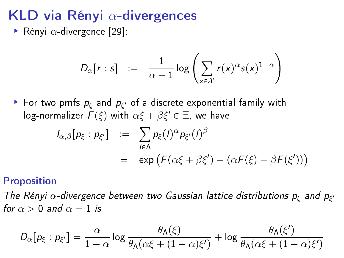# KLD via Rényi  $\alpha$ -divergences

Rényi  $\alpha$ -divergence [\[29\]](#page-31-2):

$$
D_{\alpha}[r:s] \quad := \quad \frac{1}{\alpha-1}\log\left(\sum_{x\in\mathcal{X}}r(x)^{\alpha}s(x)^{1-\alpha}\right)
$$

For two pmfs  $p_{\xi}$  and  $p_{\xi'}$  of a discrete exponential family with log-normalizer  $F(\xi)$  with  $\alpha \xi + \beta \xi' \in \Xi$ , we have

$$
I_{\alpha,\beta}[p_{\xi}:p_{\xi'}] := \sum_{l \in \Lambda} p_{\xi}(l)^{\alpha} p_{\xi'}(l)^{\beta}
$$
  
= 
$$
\exp \left( F(\alpha \xi + \beta \xi') - (\alpha F(\xi) + \beta F(\xi')) \right)
$$

#### Proposition

The Rényi  $\alpha$ -divergence between two Gaussian lattice distributions  $p_{\xi}$  and  $p_{\xi'}$ for  $\alpha > 0$  and  $\alpha \neq 1$  is

$$
D_{\alpha}[p_{\xi}:p_{\xi'}] = \frac{\alpha}{1-\alpha}\log \frac{\theta_{\Lambda}(\xi)}{\theta_{\Lambda}(\alpha\xi + (1-\alpha)\xi')} + \log \frac{\theta_{\Lambda}(\xi')}{\theta_{\Lambda}(\alpha\xi + (1-\alpha)\xi')}
$$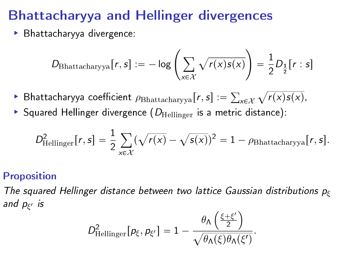# Bhattacharyya and Hellinger divergences

Bhattacharyya divergence:

$$
D_{\text{Bhattacharyya}}[r,s] := -\log\left(\sum_{x \in \mathcal{X}} \sqrt{r(x)s(x)}\right) = \frac{1}{2}D_{\frac{1}{2}}[r:s]
$$

- $\blacktriangleright$  Bhattacharyya coefficient  $\rho_\mathrm{Bhattacharyya}[r,s] := \sum_{x\in\mathcal{X}}\sqrt{r(x)s(x)},$
- Squared Hellinger divergence  $(D_{\text{Hellinger}})$  is a metric distance):

$$
D_{\text{Hellinger}}^2[r,s] = \frac{1}{2} \sum_{x \in \mathcal{X}} (\sqrt{r(x)} - \sqrt{s(x)})^2 = 1 - \rho_{\text{Bhattacharyya}}[r,s].
$$

#### Proposition

The squared Hellinger distance between two lattice Gaussian distributions  $p<sub>f</sub>$ and p<sub>ξ'</sub> is

$$
D_{\text{Hellinger}}^2[\rho_{\xi}, \rho_{\xi'}] = 1 - \frac{\theta_{\Lambda}\left(\frac{\xi + \xi'}{2}\right)}{\sqrt{\theta_{\Lambda}(\xi)\theta_{\Lambda}(\xi')}}.
$$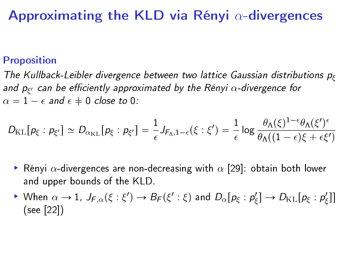### Approximating the KLD via Rényi  $\alpha$ -divergences

#### Proposition

The Kullback-Leibler divergence between two lattice Gaussian distributions  $p_f$ and  $p_{\xi'}$  can be efficiently approximated by the Rényi  $\alpha$ -divergence for  $\alpha = 1 - \epsilon$  and  $\epsilon \neq 0$  close to 0:

$$
D_{\mathrm{KL}}[p_{\xi}:p_{\xi'}]\simeq D_{\alpha_{\mathrm{KL}}}[p_{\xi}:p_{\xi'}]=\frac{1}{\epsilon}J_{F_{\Lambda},1-\epsilon}(\xi:\xi')=\frac{1}{\epsilon}\log\frac{\theta_{\Lambda}(\xi)^{1-\epsilon}\theta_{\Lambda}(\xi')^{\epsilon}}{\theta_{\Lambda}((1-\epsilon)\xi+\epsilon\xi')}
$$

- $\blacktriangleright$  Rényi  $\alpha$ -divergences are non-decreasing with  $\alpha$  [\[29\]](#page-31-2): obtain both lower and upper bounds of the KLD.
- ► When  $\alpha \to 1$ ,  $J_{F,\alpha}(\xi : \xi') \to B_F(\xi' : \xi)$  and  $D_{\alpha}[p_{\xi} : p_{\xi}'] \to D_{\text{KL}}[p_{\xi} : p_{\xi}']$ (see [\[22\]](#page-30-4))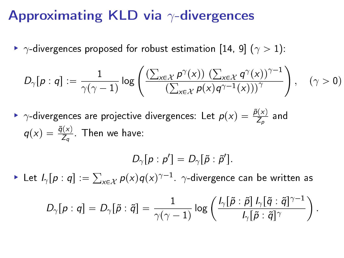#### Approximating KLD via  $\gamma$ -divergences

 $\blacktriangleright$   $\gamma$ -divergences proposed for robust estimation [\[14,](#page-28-4) [9\]](#page-28-5) ( $\gamma > 1$ ):

$$
D_{\gamma}[p:q]:=\frac{1}{\gamma(\gamma-1)}\log\left(\frac{\left(\sum_{x\in\mathcal{X}}p^{\gamma}(x)\right)\left(\sum_{x\in\mathcal{X}}q^{\gamma}(x)\right)^{\gamma-1}}{\left(\sum_{x\in\mathcal{X}}p(x)q^{\gamma-1}(x)\right)\right)^{\gamma}}\right),\quad(\gamma>0)
$$

►  $\gamma$ -divergences are projective divergences: Let  $p(x) = \frac{\tilde{p}(x)}{Z_p}$  and  $q(x) = \frac{\tilde{q}(x)}{Z_q}$ . Then we have:

$$
D_{\gamma}[p:p']=D_{\gamma}[\tilde{p}:\tilde{p}'].
$$

 $\blacktriangleright$  Let  $I_{\gamma}[p:q]:=\sum_{x\in\mathcal{X}}p(x)q(x)^{\gamma-1}$ .  $\gamma$ -divergence can be written as

$$
D_{\gamma}[p:q] = D_{\gamma}[\tilde{p}:\tilde{q}] = \frac{1}{\gamma(\gamma-1)}\log\left(\frac{l_{\gamma}[\tilde{p}:\tilde{p}]\,l_{\gamma}[\tilde{q}:\tilde{q}]^{\gamma-1}}{l_{\gamma}[\tilde{p}:\tilde{q}]^{\gamma}}\right).
$$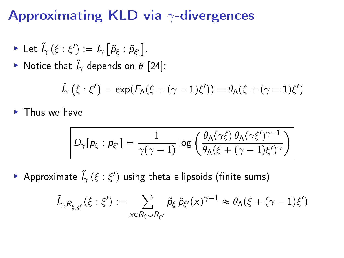#### Approximating KLD via  $\gamma$ -divergences

• Let 
$$
\tilde{I}_{\gamma}(\xi : \xi') := I_{\gamma} [\tilde{p}_{\xi} : \tilde{p}_{\xi'}].
$$

▶ Notice that  $\tilde{l}_{\gamma}$  depends on  $\theta$  [\[24\]](#page-30-5):

$$
\tilde{l}_{\gamma}\left(\xi:\xi'\right)=\exp(\mathcal{F}_{\mathsf{\Lambda}}(\xi+(\gamma-1)\xi'))=\theta_{\mathsf{\Lambda}}(\xi+(\gamma-1)\xi')
$$

▶ Thus we have

$$
D_{\gamma}[p_{\xi}:p_{\xi'}] = \frac{1}{\gamma(\gamma-1)}\log\left(\frac{\theta_{\Lambda}(\gamma\xi)\,\theta_{\Lambda}(\gamma\xi')^{\gamma-1}}{\theta_{\Lambda}(\xi+(\gamma-1)\xi')^{\gamma}}\right)
$$

Approximate  $\tilde{I}_{\gamma}\left(\xi:\xi'\right)$  using theta ellipsoids (finite sums)

$$
\tilde{l}_{\gamma, R_{\xi,\xi'}}(\xi:\xi'):=\sum_{x\in R_{\xi}\cup R_{\xi'}}\tilde{p}_{\xi}\,\tilde{p}_{\xi'}(x)^{\gamma-1}\approx \theta_{\Lambda}(\xi+(\gamma-1)\xi')
$$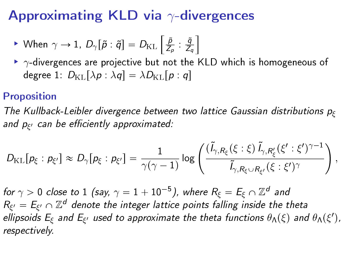# Approximating KLD via  $\gamma$ -divergences

$$
\triangleright \text{ When } \gamma \to 1, \ D_{\gamma}[\tilde{p} : \tilde{q}] = D_{\mathrm{KL}}\left[\frac{\tilde{p}}{Z_p} : \frac{\tilde{q}}{Z_q}\right]
$$

 $\rightarrow$   $\gamma$ -divergences are projective but not the KLD which is homogeneous of degree 1:  $D_{\text{KL}}[\lambda p : \lambda q] = \lambda D_{\text{KL}}[p : q]$ 

#### Proposition

The Kullback-Leibler divergence between two lattice Gaussian distributions  $p_{\varepsilon}$ and  $p_{\xi'}$  can be efficiently approximated:

$$
D_{\mathrm{KL}}[p_{\xi}:p_{\xi'}]\approx D_{\gamma}[p_{\xi}:p_{\xi'}]=\frac{1}{\gamma(\gamma-1)}\log\left(\frac{(\tilde{l}_{\gamma,R_{\xi}}(\xi:\xi)\,\tilde{l}_{\gamma,R_{\xi}'}(\xi':\xi')^{\gamma-1}}{\tilde{l}_{\gamma,R_{\xi}\cup R_{\xi'}}(\xi:\xi')^{\gamma}}\right),
$$

for  $\gamma > 0$  close to  $1$  (say,  $\gamma = 1 + 10^{-5}$ ), where  $R_\xi = E_\xi \cap \mathbb{Z}^d$  and  $R_{\xi'}=E_{\xi'}\cap\mathbb{Z}^d$  denote the integer lattice points falling inside the theta ellipsoids  $E_{\xi}$  and  $E_{\xi'}$  used to approximate the theta functions  $\theta_{\Lambda}(\xi)$  and  $\theta_{\Lambda}(\xi'),$ respectively.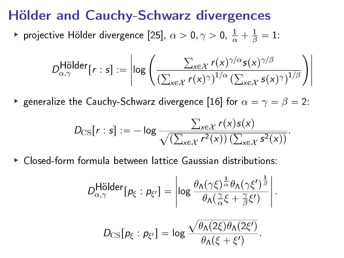#### Hölder and Cauchy-Schwarz divergences

► projective Hölder divergence [\[25\]](#page-30-6),  $\alpha > 0, \gamma > 0$ ,  $\frac{1}{\alpha} + \frac{1}{\beta} = 1$ :

$$
D_{\alpha,\gamma}^{\text{Hölder}}[r:s] := \left| \log \left( \frac{\sum_{x \in \mathcal{X}} r(x)^{\gamma/\alpha} s(x)^{\gamma/\beta}}{\left( \sum_{x \in \mathcal{X}} r(x)^{\gamma} \right)^{1/\alpha} \left( \sum_{x \in \mathcal{X}} s(x)^{\gamma} \right)^{1/\beta}} \right) \right|
$$

generalize the Cauchy-Schwarz divergence [\[16\]](#page-29-4) for  $\alpha = \gamma = \beta = 2$ :

$$
D_{\text{CS}}[r:s] := -\log \frac{\sum_{x \in \mathcal{X}} r(x) s(x)}{\sqrt{(\sum_{x \in \mathcal{X}} r^2(x)) (\sum_{x \in \mathcal{X}} s^2(x))}}.
$$

Closed-form formula between lattice Gaussian distributions:

$$
D_{\alpha,\gamma}^{\text{Hölder}}[p_{\xi}:p_{\xi'}] = \left|\log \frac{\theta_{\Lambda}(\gamma\xi)^{\frac{1}{\alpha}}\theta_{\Lambda}(\gamma\xi')^{\frac{1}{\beta}}}{\theta_{\Lambda}(\frac{\gamma}{\alpha}\xi + \frac{\gamma}{\beta}\xi')} \right|.
$$

$$
D_{\text{CS}}[p_{\xi}:p_{\xi'}] = \log \frac{\sqrt{\theta_{\Lambda}(2\xi)\theta_{\Lambda}(2\xi')}}{\theta_{\Lambda}(\xi + \xi')}.
$$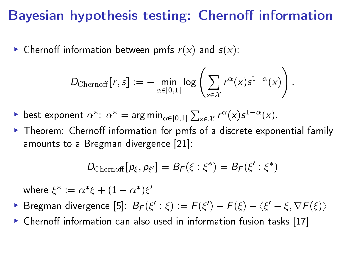#### Bayesian hypothesis testing: Chernoff information

Externoff information between pmfs  $r(x)$  and  $s(x)$ :

$$
D_{\text{Chernoff}}[r,s] := - \min_{\alpha \in [0,1]} \log \left( \sum_{x \in \mathcal{X}} r^{\alpha}(x) s^{1-\alpha}(x) \right).
$$

- ► best exponent  $\alpha^*$ :  $\alpha^* = \arg \min_{\alpha \in [0,1]} \sum_{x \in \mathcal{X}} r^{\alpha}(x) s^{1-\alpha}(x)$ .
- $\triangleright$  Theorem: Chernoff information for pmfs of a discrete exponential family amounts to a Bregman divergence [\[21\]](#page-29-5):

$$
D_{\text{Chernoff}}[p_{\xi},p_{\xi'}]=B_{F}(\xi:\xi^*)=B_{F}(\xi':\xi^*)
$$

where  $\xi^*:=\alpha^*\xi+(1-\alpha^*)\xi'$ 

- Bregman divergence [\[5\]](#page-27-3):  $B_F(\xi':\xi) := F(\xi') F(\xi) \langle \xi' \xi, \nabla F(\xi) \rangle$
- $\triangleright$  Chernoff information can also used in information fusion tasks [\[17\]](#page-29-6)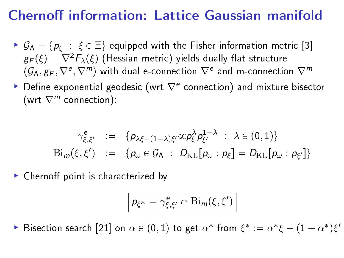# Chernoff information: Lattice Gaussian manifold

- $\mathcal{G}_\Lambda = \{p_\xi : \xi \in \Xi\}$  equipped with the Fisher information metric [\[3\]](#page-27-4)  $g_F(\xi) = \nabla^2 F_\lambda(\xi)$  (Hessian metric) yields dually flat structure  $(\mathcal{G}_\Lambda, g_F, \nabla^e, \nabla^m)$  with dual e-connection  $\nabla^e$  and m-connection  $\nabla^m$
- ▶ Define exponential geodesic (wrt  $\nabla^e$  connection) and mixture bisector (wrt  $\nabla^m$  connection):

$$
\gamma_{\xi,\xi'}^e := \{ p_{\lambda\xi + (1-\lambda)\xi'} \propto p_{\xi}^{\lambda} p_{\xi'}^{1-\lambda} : \lambda \in (0,1) \}
$$
  
 
$$
\text{Bi}_{m}(\xi, \xi') := \{ p_{\omega} \in \mathcal{G}_{\Lambda} : D_{\text{KL}}[p_{\omega} : p_{\xi}] = D_{\text{KL}}[p_{\omega} : p_{\xi'}] \}
$$

 $\blacktriangleright$  Chernoff point is characterized by

$$
p_{\xi^*} = \gamma_{\xi,\xi'}^e \cap \operatorname{Bi}_m(\xi,\xi')
$$

 $\triangleright$  Bisection search [\[21\]](#page-29-5) on α ∈ (0, 1) to get  $\alpha^*$  from  $\xi^* := \alpha^* \xi + (1 - \alpha^*) \xi'$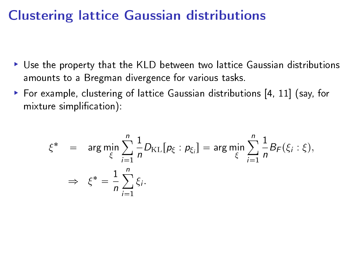#### Clustering lattice Gaussian distributions

- Use the property that the KLD between two lattice Gaussian distributions amounts to a Bregman divergence for various tasks.
- For example, clustering of lattice Gaussian distributions  $[4, 11]$  $[4, 11]$  (say, for mixture simplification):

$$
\xi^* = \arg \min_{\xi} \sum_{i=1}^n \frac{1}{n} D_{\text{KL}}[p_{\xi} : p_{\xi_i}] = \arg \min_{\xi} \sum_{i=1}^n \frac{1}{n} B_F(\xi_i : \xi),
$$
  

$$
\Rightarrow \xi^* = \frac{1}{n} \sum_{i=1}^n \xi_i.
$$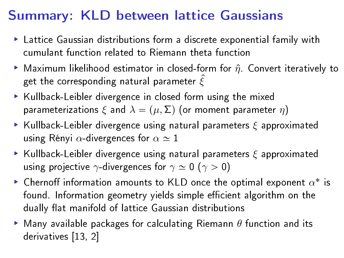# Summary: KLD between lattice Gaussians

- Lattice Gaussian distributions form a discrete exponential family with cumulant function related to Riemann theta function
- Maximum likelihood estimator in closed-form for  $\hat{\eta}$ . Convert iteratively to get the corresponding natural parameter  $\hat{\xi}$
- $\blacktriangleright$  Kullback-Leibler divergence in closed form using the mixed parameterizations  $\xi$  and  $\lambda = (\mu, \Sigma)$  (or moment parameter  $\eta$ )
- **Kullback-Leibler divergence using natural parameters**  $\xi$  **approximated** using Rényi  $\alpha$ -divergences for  $\alpha \simeq 1$
- **Kullback-Leibler divergence using natural parameters**  $\xi$  **approximated** using projective  $\gamma$ -divergences for  $\gamma \simeq 0$  ( $\gamma > 0$ )
- $\blacktriangleright$  Chernoff information amounts to KLD once the optimal exponent  $\alpha^*$  is found. Information geometry yields simple efficient algorithm on the dually flat manifold of lattice Gaussian distributions
- $\blacktriangleright$  Many available packages for calculating Riemann  $\theta$  function and its derivatives [\[13,](#page-28-3) [2\]](#page-27-6)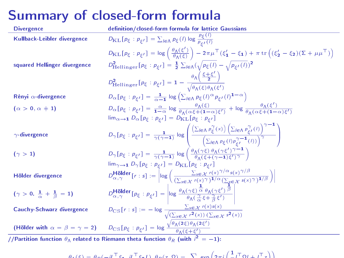### Summary of closed-form formula

| <b>Divergence</b>                                                                                    | definition/closed-form formula for lattice Gaussians                                                                                                                                                                                                                                                                                                                    |
|------------------------------------------------------------------------------------------------------|-------------------------------------------------------------------------------------------------------------------------------------------------------------------------------------------------------------------------------------------------------------------------------------------------------------------------------------------------------------------------|
| Kullback-Leibler divergence                                                                          | $D_{\text{KL}}[p_{\xi} : p_{\xi'}] = \sum_{l \in \Lambda} p_{\xi}(l) \log \frac{p_{\xi}(l)}{p_{\xi}(l)}$                                                                                                                                                                                                                                                                |
|                                                                                                      | $D_{\text{KL}}\left[p_{\xi} : p_{\xi'}\right] = \log\left(\frac{\theta_{\Lambda}(\xi')}{\theta_{\Lambda}(\xi)}\right) - 2\pi\mu^{\top}\left(\xi'_{1} - \xi_{1}\right) + \pi \operatorname{tr}\left(\left(\xi'_{2} - \xi_{2}\right)\left(\Sigma + \mu\mu^{\top}\right)\right)$                                                                                           |
| squared Hellinger divergence                                                                         | $D_{\rm Hellinger}^2[p_{\xi}:p_{\xi'}]=\frac{1}{2}\sum_{l\in\Lambda}(\sqrt{p_{\xi}(l)}-\sqrt{p_{\xi'}(l)})^2$                                                                                                                                                                                                                                                           |
|                                                                                                      | $D_{\text{Hellinger}}^2[p_{\xi}:p_{\xi'}]=1-\frac{\theta_{\Lambda}\left(\frac{\xi+\xi'}{2}\right)}{\sqrt{\theta_{\Lambda}(\xi)\theta_{\Lambda}(\xi')}}$                                                                                                                                                                                                                 |
| Rényi $\alpha$ -divergence                                                                           | $D_{\alpha}[p_{\xi}:p_{\xi'}]=\frac{1}{\alpha-1}\log\left(\sum_{l\in\Lambda}p_{\xi}(l)^{\alpha}p_{\xi'}(l)^{1-\alpha}\right)$                                                                                                                                                                                                                                           |
| $(\alpha > 0, \alpha \neq 1)$                                                                        | $D_{\alpha}[p_{\xi}:p_{\xi'}]=\frac{\alpha}{1-\alpha}\log\frac{\theta_{\Lambda}(\xi)}{\theta_{\Lambda}(\alpha\xi+(1-\alpha)\xi')}+\log\frac{\theta_{\Lambda}(\xi')}{\theta_{\Lambda}(\alpha\xi+(1-\alpha)\xi')}$                                                                                                                                                        |
|                                                                                                      | $\lim_{\alpha\to 1} D_{\alpha}[p_{\xi}:p_{\xi'}]=D_{\mathrm{KL}}[p_{\xi}:p_{\xi'}]$                                                                                                                                                                                                                                                                                     |
| $\gamma$ -divergence                                                                                 | $D_{\gamma}[p_{\xi}:p_{\xi'}] = \frac{1}{\gamma(\gamma-1)} \log \left( \frac{\left(\sum_{l \in \Lambda} p_{\xi}^{\gamma}(x)\right) \left(\sum_{l \in \Lambda} p_{\xi'}^{\gamma}(l)\right)^{\gamma-1}}{\left(\sum_{l \in \Lambda} p_{\xi}(l) p_{\xi'}^{\gamma-1}(l)\right)^{\gamma}} \right)$                                                                            |
| $(\gamma > 1)$                                                                                       | $D_{\gamma}[p_{\xi}:p_{\xi'}]=\frac{1}{\gamma(\gamma-1)}\log\left(\frac{\theta_{\Lambda}(\gamma\xi)\theta_{\Lambda}(\gamma\xi')\gamma^{-1}}{\theta_{\Lambda}(\xi+(\gamma-1)\xi')\gamma}\right)$                                                                                                                                                                         |
|                                                                                                      | $\lim_{\gamma \to 1} D_{\gamma}[p_{\xi} : p_{\xi'}] = D_{\text{KL}}[p_{\xi} : p_{\xi'}]$                                                                                                                                                                                                                                                                                |
| Hölder divergence                                                                                    | $D^{\text{H\"older}}_{\alpha,\gamma}[r:s] := \left \log\left(\frac{\sum_{x\in\mathcal{X}}r(x)^{\gamma/\alpha}s(x)^{\gamma/\beta}}{(\sum_{x\in\mathcal{X}}r(x)^{\gamma})^{1/\alpha}(\sum_{\vec{Y}\in\mathcal{X}}s(x)^{\gamma})^{1/\beta}}\right)\right $                                                                                                                 |
| $(\gamma > 0, \frac{1}{\alpha} + \frac{1}{\beta} = 1)$                                               | $D_{\alpha,\gamma}^{\text{H\"{o}lder}}[p_{\xi}:p_{\xi'}] = \left \log \frac{\theta_{\Lambda}(\gamma \xi)}{\theta_{\Lambda}(\frac{\gamma}{\alpha} \xi + \frac{\gamma}{\beta} \xi')}\right $<br>$D_{\text{CS}}[r:s] := -\log \frac{\sum_{x \in \mathcal{X}} r(x) s(x)}{\sqrt{\left(\sum_{x \in \mathcal{X}} r^2(x)\right) \left(\sum_{x \in \mathcal{X}} s^2(x)\right)}}$ |
| <b>Cauchy-Schwarz divergence</b>                                                                     |                                                                                                                                                                                                                                                                                                                                                                         |
|                                                                                                      | (Hölder with $\alpha = \beta = \gamma = 2$ ) $D_{\text{CS}}[p_{\xi} : p_{\xi'}] = \log \frac{\sqrt{\theta_{\Lambda}(2\xi)\theta_{\Lambda}(2\xi')}}{\theta_{\Lambda}(\xi + \xi')}$                                                                                                                                                                                       |
| //Partition function $\theta_\Lambda$ related to Riemann theta function $\theta_R$ (with $i^2=-1$ ): |                                                                                                                                                                                                                                                                                                                                                                         |

$$
\theta_{\lambda}(\xi) = \theta_{\Omega}(-i\mathbf{I}^{\top}\xi, i\mathbf{I}^{\top}\xi_{\Omega}) \quad \theta_{\Omega}(\xi,0) = \sum_{\alpha \ge 0} \left(2\pi i \left(\frac{1}{\tau}\mathbf{I}^{\top}\mathbf{O}(\pm i\mathbf{I}^{\top}\xi)\right)\right)
$$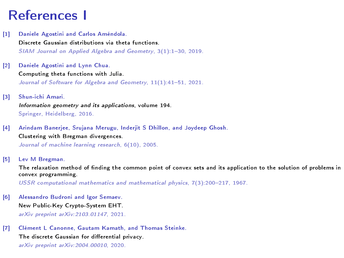### References I

- <span id="page-27-0"></span>[1] Daniele Agostini and Carlos Améndola. Discrete Gaussian distributions via theta functions.  $SIAM$  Journal on Applied Algebra and Geometry,  $3(1):1-30$ , 2019.
- <span id="page-27-6"></span>[2] Daniele Agostini and Lynn Chua. Computing theta functions with Julia. Journal of Software for Algebra and Geometry, 11(1):41-51, 2021.
- <span id="page-27-4"></span>[3] Shun-ichi Amari. Information geometry and its applications, volume 194. Springer, Heidelberg, 2016.
- <span id="page-27-5"></span>[4] Arindam Banerjee, Srujana Merugu, Inderjit S Dhillon, and Joydeep Ghosh. Clustering with Bregman divergences. Journal of machine learning research, 6(10), 2005.
- <span id="page-27-3"></span>[5] Lev M Bregman.

The relaxation method of finding the common point of convex sets and its application to the solution of problems in convex programming.

USSR computational mathematics and mathematical physics, 7(3):200-217, 1967.

- <span id="page-27-1"></span>[6] Alessandro Budroni and Igor Semaev. New Public-Key Crypto-System EHT. arXiv preprint arXiv:2103.01147, 2021.
- <span id="page-27-2"></span>[7] Clément L Canonne, Gautam Kamath, and Thomas Steinke. The discrete Gaussian for differential privacy. arXiv preprint arXiv:2004.00010, 2020.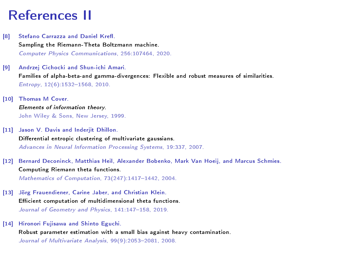#### References II

- <span id="page-28-0"></span>[8] Stefano Carrazza and Daniel Krefl. Sampling the Riemann-Theta Boltzmann machine. Computer Physics Communications, 256:107464, 2020.
- <span id="page-28-5"></span>[9] Andrzej Cichocki and Shun-ichi Amari. Families of alpha-beta-and gamma-divergences: Flexible and robust measures of similarities. Entropy,  $12(6)$ :1532-1568, 2010.
- <span id="page-28-1"></span>[10] Thomas M Cover. Elements of information theory. John Wiley & Sons, New Jersey, 1999.
- <span id="page-28-6"></span>[11] Jason V. Davis and Inderjit Dhillon. Differential entropic clustering of multivariate gaussians. Advances in Neural Information Processing Systems, 19:337, 2007.
- <span id="page-28-2"></span>[12] Bernard Deconinck, Matthias Heil, Alexander Bobenko, Mark Van Hoeij, and Marcus Schmies. Computing Riemann theta functions. Mathematics of Computation,  $73(247):1417-1442, 2004$ .
- <span id="page-28-3"></span>[13] Jörg Frauendiener, Carine Jaber, and Christian Klein. Efficient computation of multidimensional theta functions. Journal of Geometry and Physics, 141:147-158, 2019.
- <span id="page-28-4"></span>[14] Hironori Fujisawa and Shinto Eguchi. Robust parameter estimation with a small bias against heavy contamination. Journal of Multivariate Analysis, 99(9):2053-2081, 2008.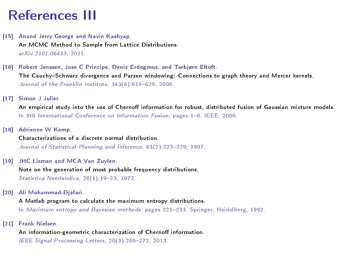## References III

- <span id="page-29-2"></span>[15] Anand Jerry George and Navin Kashyap. An MCMC Method to Sample from Lattice Distributions. arXiv:2101.06453, 2021.
- <span id="page-29-4"></span>[16] Robert Jenssen, Jose C Principe, Deniz Erdogmus, and Torbjørn Eltoft. The Cauchy-Schwarz divergence and Parzen windowing: Connections to graph theory and Mercer kernels.

Journal of the Franklin Institute,  $343(6)$ :614-629, 2006.

<span id="page-29-6"></span>[17] Simon J Julier.

An empirical study into the use of Chernoff information for robust, distributed fusion of Gaussian mixture models. In 9th International Conference on Information Fusion, pages  $1-8$ , IEEE, 2006.

<span id="page-29-1"></span>[18] Adrienne W Kemp.

Characterizations of a discrete normal distribution. Journal of Statistical Planning and Inference, 63(2):223-229, 1997.

<span id="page-29-0"></span>[19] JHC Lisman and MCA Van Zuylen.

Note on the generation of most probable frequency distributions. Statistica Neerlandica,  $26(1):19-23, 1972.$ 

<span id="page-29-3"></span>[20] Ali Mohammad-Djafari.

A Matlab program to calculate the maximum entropy distributions.

In Maximum entropy and Bayesian methods, pages 221-233. Springer, Heidelberg, 1992.

<span id="page-29-5"></span>[21] Frank Nielsen.

An information-geometric characterization of Chernoff information.

IEEE Signal Processing Letters, 20(3):269-272, 2013.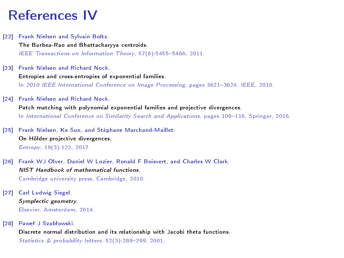#### References IV

- <span id="page-30-4"></span>[22] Frank Nielsen and Sylvain Boltz. The Burbea-Rao and Bhattacharyya centroids. IEEE Transactions on Information Theory, 57(8):5455-5466, 2011.
- <span id="page-30-3"></span>[23] Frank Nielsen and Richard Nock. Entropies and cross-entropies of exponential families. In 2010 IEEE International Conference on Image Processing, pages 3621-3624. IEEE, 2010.
- <span id="page-30-5"></span>[24] Frank Nielsen and Richard Nock. Patch matching with polynomial exponential families and projective divergences. In International Conference on Similarity Search and Applications, pages 109-116. Springer, 2016.
- <span id="page-30-6"></span>[25] Frank Nielsen, Ke Sun, and Stéphane Marchand-Maillet. On Hölder projective divergences. Entropy, 19(3):122, 2017.
- <span id="page-30-0"></span>[26] Frank WJ Olver, Daniel W Lozier, Ronald F Boisvert, and Charles W Clark. NIST Handbook of mathematical functions. Cambridge university press, Cambridge, 2010.
- <span id="page-30-1"></span>[27] Carl Ludwig Siegel. Symplectic geometry. Elsevier, Amsterdam, 2014.
- <span id="page-30-2"></span>[28] Paweł J Szabłowski.

Discrete normal distribution and its relationship with Jacobi theta functions. Statistics & probability letters, 52(3):289-299, 2001.